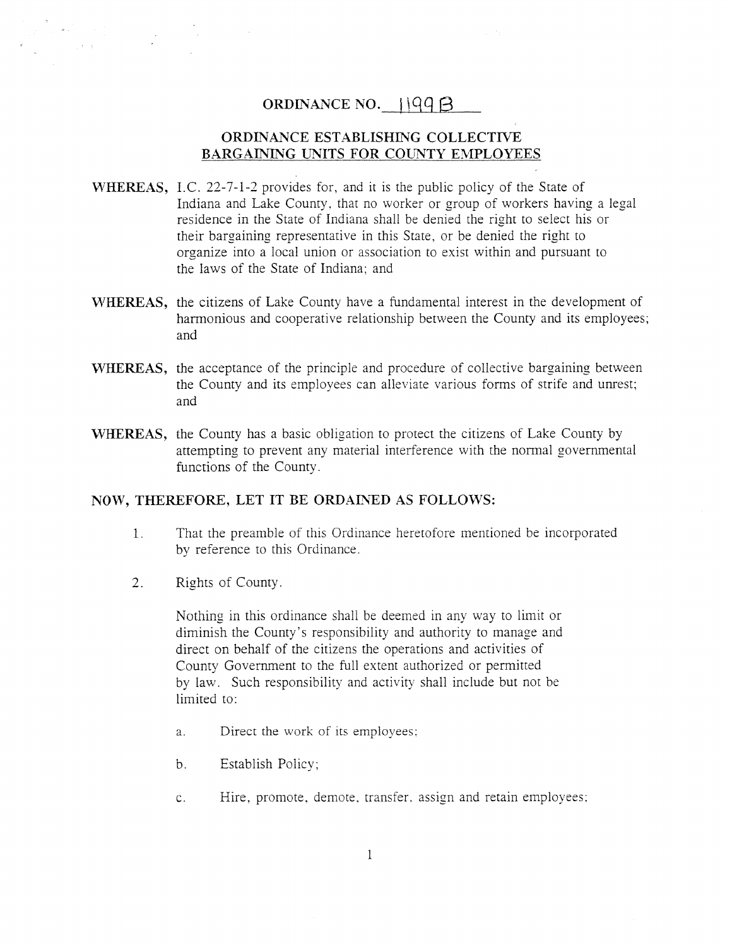## ORDINANCE NO.  $\vert \vert 99 \vert$

### ORDINANCE ESTABLISHING COLLECTIVE BARGAINING UNITS FOR COUNTY EMPLOYEES

- WHEREAS, IC. 22-7-1-2 provides for, and it is the public policy of the State of Indiana and Lake County, that no worker or group of workers having <sup>a</sup> legal residence in the State of Indiana shall be denied the right to select his or their bargaining representative in this State, or be denied the right to organize into <sup>a</sup> local union or association to exist within and pursuan<sup>t</sup> to the laws of the State of Indiana; and
- WHEREAS, the citizens of Lake County have <sup>a</sup> fundamental interest in the development of harmonious and cooperative relationship between the County and its employees; and
- WHEREAS, the acceptance of the principle and procedure of collective bargaining between the County and its employees can alleviate various forms of strife and unrest; and
- WHEREAS, the County has <sup>a</sup> basic obligation to protect the citizens of Lake County by attempting to preven<sup>t</sup> any material interference with the normal governmental functions of the County.

#### NOW, THEREFORE, LET IT BE ORDAINED AS FOLLOWS:

- 1. That the preamble of this Ordinance heretofore mentioned be incorporated by reference to this Ordinance.
- 2. Rights of County.

 $\label{eq:2} \frac{1}{\sqrt{2}}\left(\frac{1}{\sqrt{2}}\right)^{2} \left(\frac{1}{\sqrt{2}}\right)^{2} \left(\frac{1}{\sqrt{2}}\right)^{2} \left(\frac{1}{\sqrt{2}}\right)^{2} \left(\frac{1}{\sqrt{2}}\right)^{2} \left(\frac{1}{\sqrt{2}}\right)^{2} \left(\frac{1}{\sqrt{2}}\right)^{2} \left(\frac{1}{\sqrt{2}}\right)^{2} \left(\frac{1}{\sqrt{2}}\right)^{2} \left(\frac{1}{\sqrt{2}}\right)^{2} \left(\frac{1}{\sqrt{2}}\right)^{2} \left(\frac{$ 

Nothing in this ordinance shall be deemed in any way to limit or diminish the County's responsibility and authority to manage and direct on behalf of the citizens the operations and activities of County Government to the full extent authorized or permitted by law. Such responsibility and activity shall include but not be limited to:

- a. Direct the work of its employees:
- b. Establish Policy;
- c. Hire, promote. demote, transfer. assign and retain employees: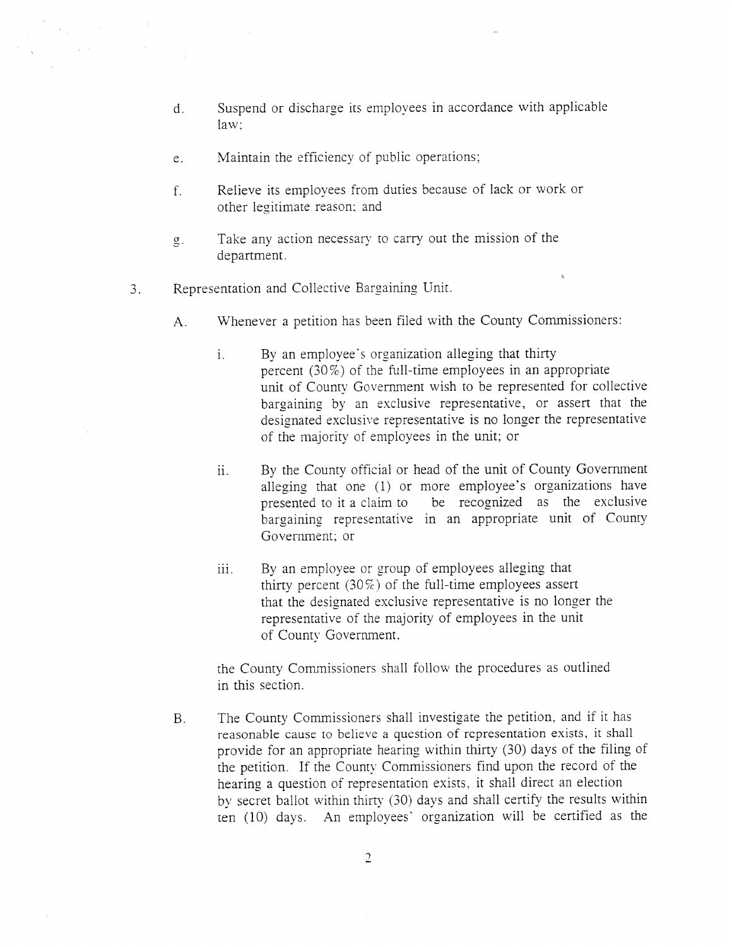- d. Suspend or discharge its employees in accordance with applicable law:
- e. Maintain the efficiency of public operations;
- f. Relieve its employees from duties because of lack or work or other legitimate reason: and
- g. Take any action necessary to carry out the mission of the department.
- 3. Representation and Collective Bargaining Unit.
	- A. Whenever <sup>a</sup> petition has been filed with the County Commissioners:
		- i. By an employee's organization alleging that thirty percen<sup>t</sup> (30%) of the full-time employees in an appropriate unit of County Government wish to be represented for collective bargaining by an exclusive representative, or assert that the designated exclusive representative is no longer the representative of the majority of employees in the unit; or
		- ii. By the County official or head of the unit of County Government alleging that one (1) or more employee's organizations have presented to it <sup>a</sup> claim to be recognized as the exclusive bargaining representative in an appropriate unit of County Government; or
		- iii. By an employee or group of employees alleging that thirty percent  $(30\%)$  of the full-time employees assert that the designated exclusive representative is no longer the representative of the majority of employees in the Unit of County Government.

the County Commissioners shall follow the procedures as outlined in this section.

B. The County Commissioners shall investigate the petition, and if it has reasonable cause to believe <sup>a</sup> question of representation exists, it shall provide for an appropriate hearing within thirty (30) days of the filing of the petition. If the County Commissioners find upon the record of the hearing <sup>a</sup> question of representation exists, it shall direct an election by secret ballot within thirty (30) days and shall certify the results within ten (10) days. An employees' organization will be certified as the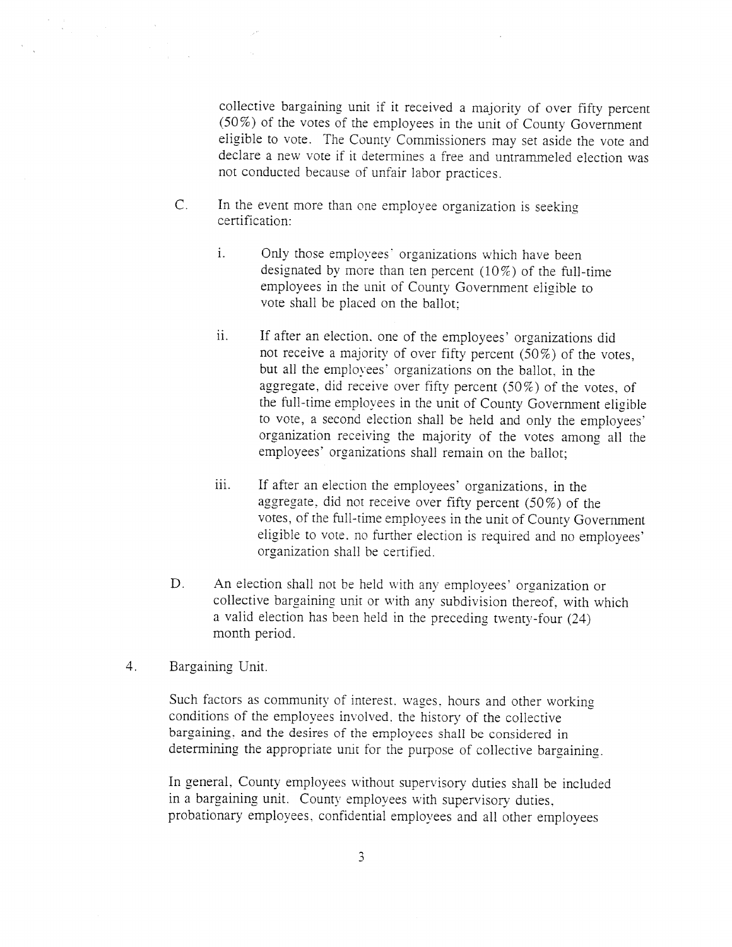collective bargaining unit if it received <sup>a</sup> majority of over fifty percent (50%) of the votes of the employees in the unit of County Government eligible to vote. The County Commissioners may set aside the vote and declare <sup>a</sup> new vote if it determines <sup>a</sup> free and untrammeled election was not conducted because of unfair labor practices.

- C. In the event more than one employee organization is seeking certification:
	- i. Only those employees' organizations which have been designated by more than ten percent  $(10\%)$  of the full-time employees in the unit of County Government eligible to vote shall be placed on the ballot;
	- ii. If after an election. one of the employees' organizations did not receive <sup>a</sup> majority of over fifty percent (50%) of the votes, but all the employees' organizations on the ballot, in the aggregate, did receive over fifty percent (50%) of the votes, of the full-time employees in the unit of County Government eligible to vote, <sup>a</sup> second election shall be held and only the employees' organization receiving the majority of the votes among all the employees' organizations shall remain on the ballot;
	- iii. If after an election the employees' organizations, in the aggregate, did not receive over fifty percent (50%) of the votes, of the full-time employees in the unit of County Government eligible to vote, no further election is required and no employees' organization shall he certified.
- D. An election shall not be held with any employees' organization or collective bargaining unit or with any subdivision thereof, with which <sup>a</sup> valid election has been held in the preceding twenty-four (24) month period.
- 4. Bargaining Unit.

Such factors as community of interest. wages. hours and other working conditions of the employees involved, the history of the collective bargaining, and the desires of the employees shall be considered in determining the appropriate unit for the purpose of collective bargaining.

In general. County employees without supervisory duties shall be included in <sup>a</sup> bargaining unit. County employees with supervisory duties. probationary employees, confidential employees and all other employees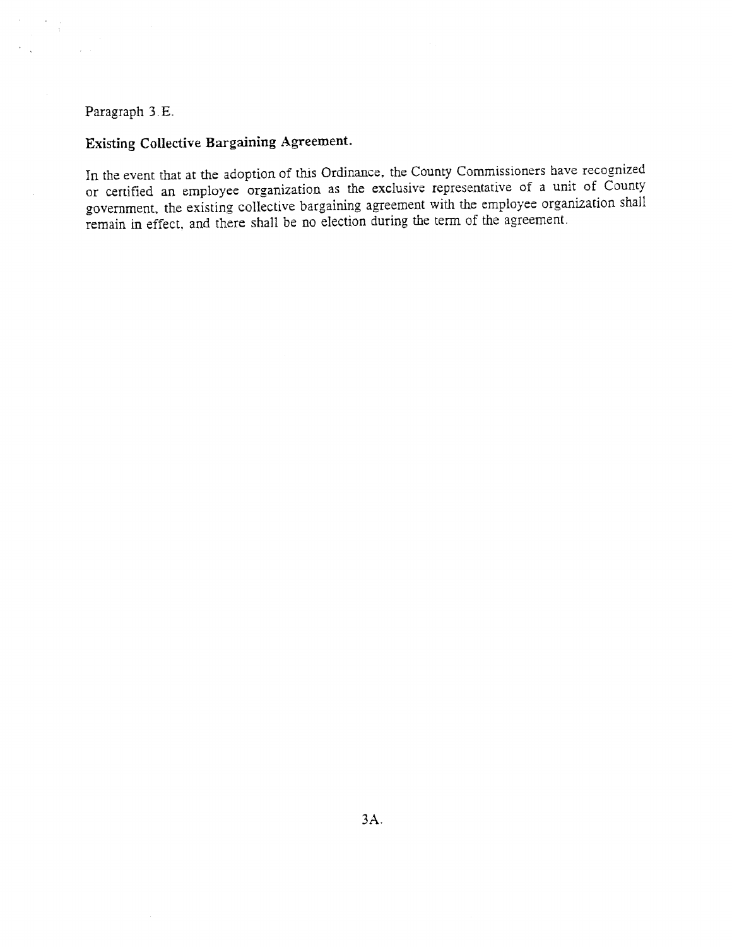## Paragraph 3 E.

# Existing Collective Bargaining Agreement.

In the event that at the adoption of this Ordinance, the County Commissioners have recognized or certified an employee organization as the exclusive representative of a unit of County government, the existing collective bargaining agreement with the employee organization shall remain in effect, and there shall be no election during the term of the agreement.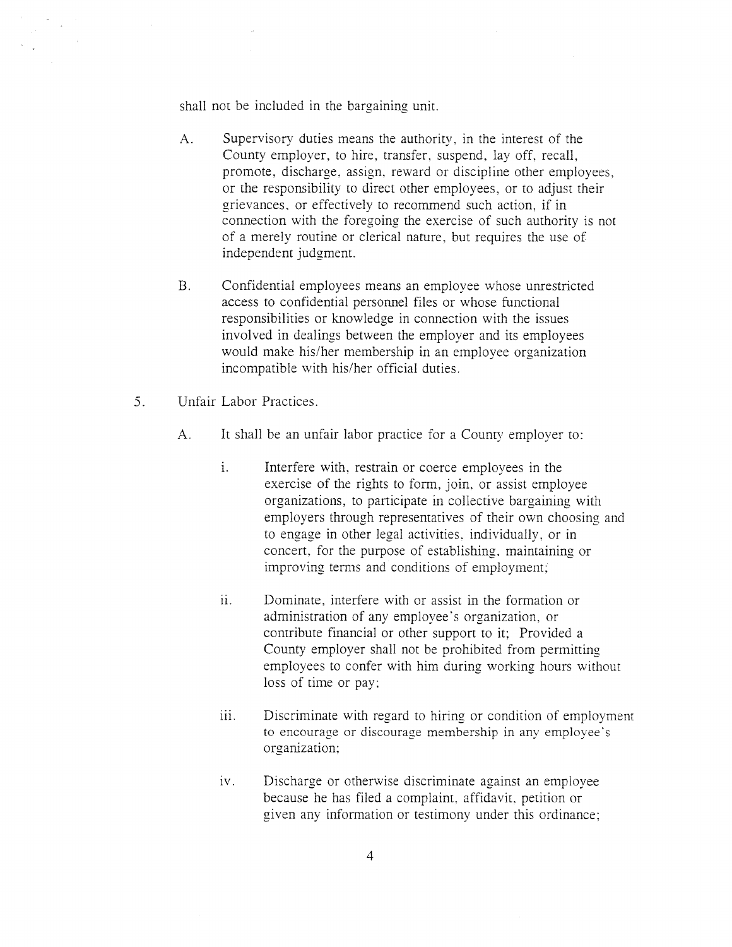shall not be included in the bargaining unit.

- A. Supervisory duties means the authority, in the interest of the County employer, to hire, transfer, suspend, lay off, recall, promote, discharge, assign, reward or discipline other employees. or the responsibility to direct other employees, or to adjust their grievances, or effectively to recommend such action, if in connection with the foregoing the exercise of such authority is not of <sup>a</sup> merely routine or clerical nature, but requires the use of independent judgment.
- B. Confidential employees means an employee whose unrestricted access to confidential personnel files or whose functional responsibilities or knowledge in connection with the issues involved in dealings between the employer and its employees would make his/her membership in an employee organization incompatible with his/her official duties.
- 5. Unfair Labor Practices.
	- A. It shall be an unfair labor practice for <sup>a</sup> County employer to:
		- i. Interfere with. restrain or coerce employees in the exercise of the rights to form, join, or assist employee organizations, to participate in collective bargaining with employers through representatives of their own choosing and to engage in other legal activities, individually, or in concert, for the purpose of establishing, maintaining or improving terms and conditions of employment;
		- ii. Dominate, interfere with or assist in the formation or administration of any employee's organization, or contribute financial or other suppor<sup>t</sup> to it; Provided <sup>a</sup> County employer shall not be prohibited from permitting employees to confer with him during working hours without loss of time or pay;
		- iii. Discriminate with regard to hiring or condition of employment to encourage or discourage membership in any employee's organization;
		- iv. Discharge or otherwise discriminate against an employee because he has filed <sup>a</sup> complaint. affidavit, petition or given any information or testimony under this ordinance;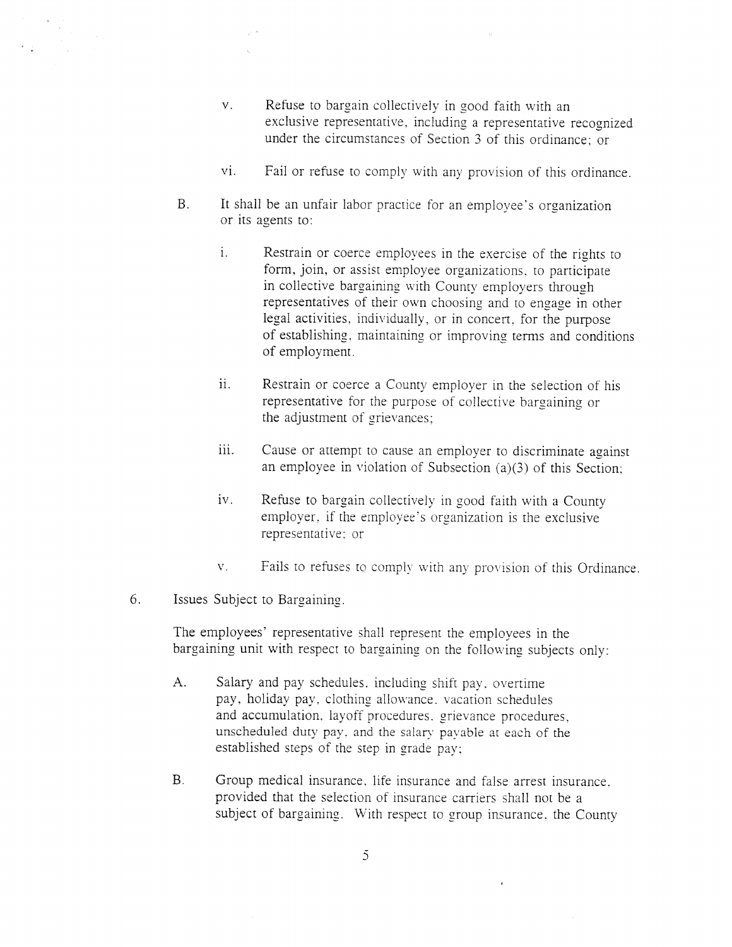- v. Refuse to bargain collectively in goo<sup>d</sup> faith with an exclusive representative, including <sup>a</sup> representative recognized under the circumstances of Section 3 of this ordinance; or
- vi. Fail or refuse to comply with any provision of this ordinance.
- B. It shall be an unfair labor practice for an employee's organization or its agents to:
	- i. Restrain or coerce employees in the exercise of the rights to form, join, or assist employee organizations, to participate in collective bargaining with County employers through representatives of their own choosing and to engage in other legal activities, individually, or in concert, for the purpose of establishing, maintaining or improving terms and conditions of employment.
	- ii. Restrain or coerce <sup>a</sup> County employer in the selection of his representative for the purpose of collective bargaining or the adjustment of grievances;
	- iii. Cause or attempt to cause an employer to discriminate against an employee in violation of Subsection (a)(3) of this Section:
	- iv. Refuse to bargain collectively in goo<sup>d</sup> faith with <sup>a</sup> County employer, if the employee's organization is the exclusive representative: or
	- v. Fails to refuses to comply with any provision of this Ordinance.
- 6. Issues Subject to Bargaining.

The employees' representative shall represen<sup>t</sup> the employees in the bargaining unit with respec<sup>t</sup> to bargaining on the following subjects only:

- A. Salary and pay schedules. including shift pay, overtime pay. holiday pay, clothing allowance, vacation schedules and accumulation. layoff procedures. grievance procedures, unscheduled duty pay. and the salary payable at each of the established steps of the step in grade paY:
- B. Group medical insurance, life insurance and false arrest insurance. provided that the selection of insurance carriers shall not be <sup>a</sup> subject of bargaining. With respec<sup>t</sup> to group insurance, the County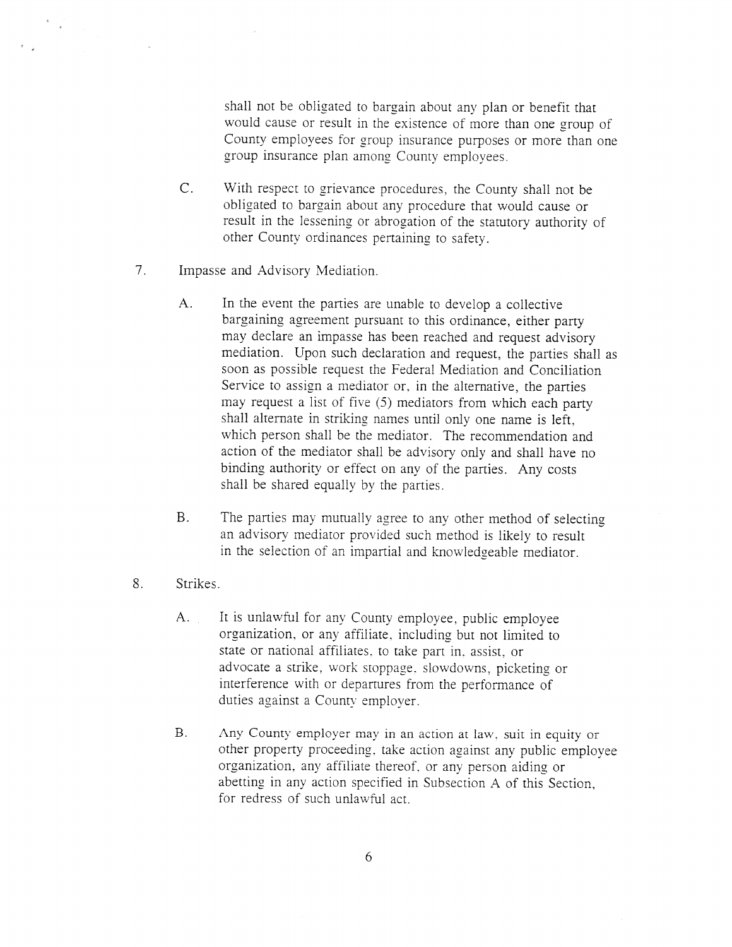shall not be obligated to bargain about any <sup>p</sup>lan or benefit that would cause or result in the existence of more than one group of County employees for group insurance purposes or more than one group insurance <sup>p</sup>lan among County employees.

- C. With respec<sup>t</sup> to grievance procedures, the County shall not be obligated to bargain about any procedure that would cause or result in the lessening or abrogation of the statutory authority of other County ordinances pertaining to safety.
- 7. Impasse and Advisory Mediation.
	- A. In the event the parties are unable to develop <sup>a</sup> collective bargaining agreemen<sup>t</sup> pursuan<sup>t</sup> to this ordinance, either party may declare an impasse has been reached and reques<sup>t</sup> advisory mediation. Upon such declaration and request, the parties shall as soon as possible reques<sup>t</sup> the Federal Mediation and Conciliation Service to assign <sup>a</sup> mediator or. in the alternative, the parties may reques<sup>t</sup> <sup>a</sup> list of five (5) mediators from which each party shall alternate in striking names until only one name is left, which person shall be the mediator. The recommendation and action of the mediator shall be advisory only and shall have no binding authority or effect on any of the parties. Any costs shall he shared equally by the parties.
	- B. The parties may mutually agree to any other method of selecting an advisory mediator provided such method is likely to result in the selection of an impartial and knowledgeable mediator.
- 8. Strikes.

 $\begin{array}{cc} \ast & \circ \\ & \circ \\ & \circ \end{array}$ 

- A. It is unlawful for any County employee, public employee organization. or any affiliate, including but not limited to state or national affiliates, to take par<sup>t</sup> in. assist, or advocate <sup>a</sup> strike, work stoppage. slowdowns, <sup>p</sup>icketing or interference with or departures from the performance of duties against <sup>a</sup> County employer.
- B. Any County employer may in an action at law, suit in equity or other property proceeding, take action against any public employee organization. any affiliate thereof, or any person aiding or abetting in any action specified in Subsection A of this Section. for redress of such unlawful act.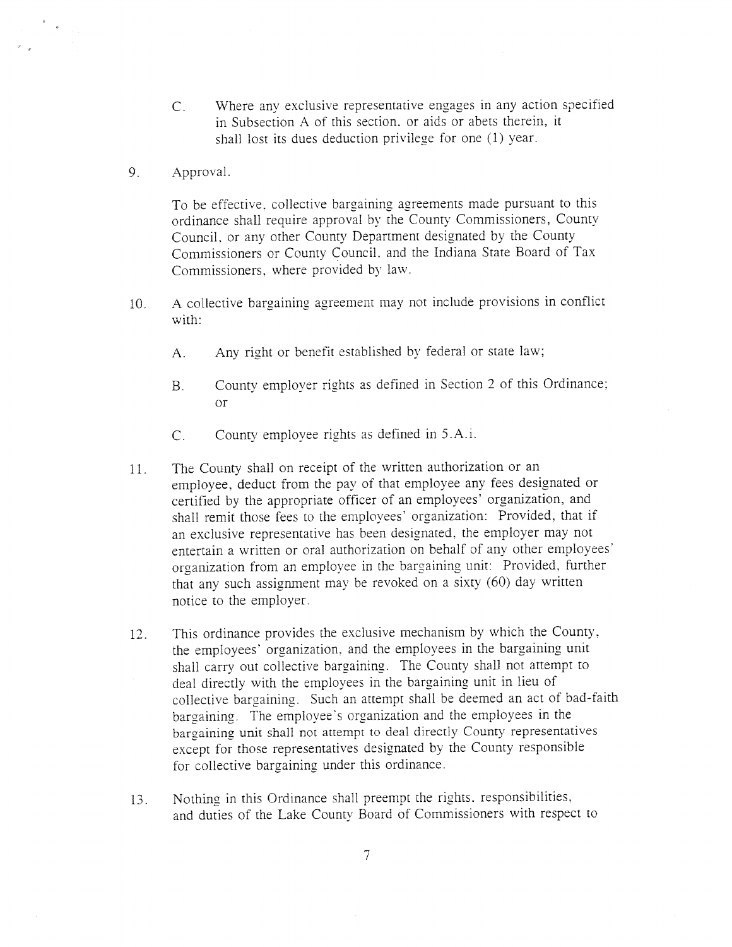- C. Where any exclusive representative engages in any action specified in Subsection A of this section. or aids or abets therein, it shall lost its dues deduction privilege for one (1) year.
- 9. Approval.

To be effective, collective bargaining agreements made pursuan<sup>t</sup> to this ordinance shall require approva<sup>l</sup> by the County Commissioners, County Council. or any other County Department designated by the County Commissioners or County Council. and the Indiana State Board of Tax Commissioners, where provided by law.

- 10. <sup>A</sup> collective bargaining agreemen<sup>t</sup> may not include provisions in conflict with:
	- A. Any right or benefit established by federal or state law;
	- B. County employer rights as defined in Section <sup>2</sup> of this Ordinance; or
	- C. County employee rights as defined in 5.A.i,
- 11. The County shall on receipt of the written authorization or an employee, deduct from the pay of that employee any fees designated or certified by the appropriate officer of an employees' organization, and shall remit those fees to the employees' organization: Provided, that if an exclusive representative has been designated. the employer may not entertain a written or oral authorization on behalf of any other employees' organization from an employee in the bargaining unit: Provided, further that any such assignment may be revoked on <sup>a</sup> sixty (60) day written notice to the employer.
- 12. This ordinance provides the exclusive mechanism by which the County. the employees' organization, and the employees in the bargaining unit shall carry out collective bargaining. The County shall not attempt to deal directly with the employees in the bargaining unit in lieu of collective bargaining. Such an attempt shall be deemed an act of bad-faith bargaining. The employee's organization and the employees in the bargaining unit shall not attempt to deal directly County representatives excep<sup>t</sup> for those representatives designated by the County responsible for collective bargaining under this ordinance.
- 13. Nothing in this Ordinance shall preemp<sup>t</sup> the rights, responsibilities, and duties of the Lake County Board of Commissioners with respec<sup>t</sup> to